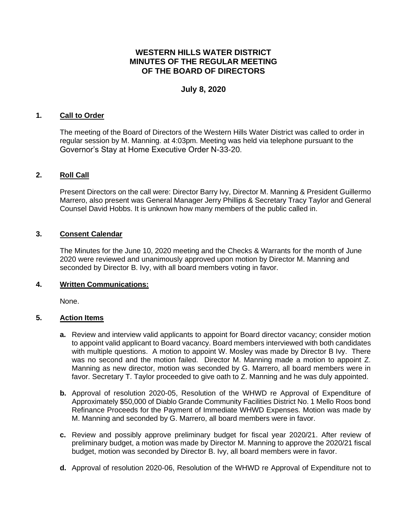# **WESTERN HILLS WATER DISTRICT MINUTES OF THE REGULAR MEETING OF THE BOARD OF DIRECTORS**

# **July 8, 2020**

### **1. Call to Order**

The meeting of the Board of Directors of the Western Hills Water District was called to order in regular session by M. Manning. at 4:03pm. Meeting was held via telephone pursuant to the Governor's Stay at Home Executive Order N-33-20.

## **2. Roll Call**

Present Directors on the call were: Director Barry Ivy, Director M. Manning & President Guillermo Marrero, also present was General Manager Jerry Phillips & Secretary Tracy Taylor and General Counsel David Hobbs. It is unknown how many members of the public called in.

### **3. Consent Calendar**

The Minutes for the June 10, 2020 meeting and the Checks & Warrants for the month of June 2020 were reviewed and unanimously approved upon motion by Director M. Manning and seconded by Director B. Ivy, with all board members voting in favor.

#### **4. Written Communications:**

None.

#### **5. Action Items**

- **a.** Review and interview valid applicants to appoint for Board director vacancy; consider motion to appoint valid applicant to Board vacancy. Board members interviewed with both candidates with multiple questions. A motion to appoint W. Mosley was made by Director B Ivy. There was no second and the motion failed. Director M. Manning made a motion to appoint Z. Manning as new director, motion was seconded by G. Marrero, all board members were in favor. Secretary T. Taylor proceeded to give oath to Z. Manning and he was duly appointed.
- **b.** Approval of resolution 2020-05, Resolution of the WHWD re Approval of Expenditure of Approximately \$50,000 of Diablo Grande Community Facilities District No. 1 Mello Roos bond Refinance Proceeds for the Payment of Immediate WHWD Expenses. Motion was made by M. Manning and seconded by G. Marrero, all board members were in favor.
- **c.** Review and possibly approve preliminary budget for fiscal year 2020/21. After review of preliminary budget, a motion was made by Director M. Manning to approve the 2020/21 fiscal budget, motion was seconded by Director B. Ivy, all board members were in favor.
- **d.** Approval of resolution 2020-06, Resolution of the WHWD re Approval of Expenditure not to